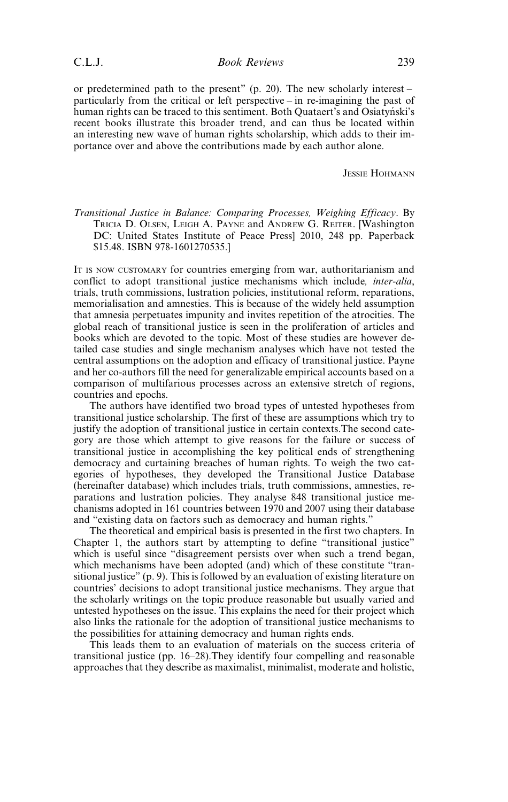or predetermined path to the present"  $(p. 20)$ . The new scholarly interest – particularly from the critical or left perspective – in re-imagining the past of human rights can be traced to this sentiment. Both Quataert's and Osiatyn'ski's recent books illustrate this broader trend, and can thus be located within an interesting new wave of human rights scholarship, which adds to their importance over and above the contributions made by each author alone.

JESSIE HOHMANN

Transitional Justice in Balance: Comparing Processes, Weighing Efficacy. By TRICIA D. OLSEN, LEIGH A. PAYNE and ANDREW G. REITER. [Washington DC: United States Institute of Peace Press] 2010, 248 pp. Paperback \$15.48. ISBN 978-1601270535.]

IT IS NOW CUSTOMARY for countries emerging from war, authoritarianism and conflict to adopt transitional justice mechanisms which include, inter-alia, trials, truth commissions, lustration policies, institutional reform, reparations, memorialisation and amnesties. This is because of the widely held assumption that amnesia perpetuates impunity and invites repetition of the atrocities. The global reach of transitional justice is seen in the proliferation of articles and books which are devoted to the topic. Most of these studies are however detailed case studies and single mechanism analyses which have not tested the central assumptions on the adoption and efficacy of transitional justice. Payne and her co-authors fill the need for generalizable empirical accounts based on a comparison of multifarious processes across an extensive stretch of regions, countries and epochs.

The authors have identified two broad types of untested hypotheses from transitional justice scholarship. The first of these are assumptions which try to justify the adoption of transitional justice in certain contexts. The second category are those which attempt to give reasons for the failure or success of transitional justice in accomplishing the key political ends of strengthening democracy and curtaining breaches of human rights. To weigh the two categories of hypotheses, they developed the Transitional Justice Database (hereinafter database) which includes trials, truth commissions, amnesties, reparations and lustration policies. They analyse 848 transitional justice mechanisms adopted in 161 countries between 1970 and 2007 using their database and "existing data on factors such as democracy and human rights."

The theoretical and empirical basis is presented in the first two chapters. In Chapter 1, the authors start by attempting to define "transitional justice" which is useful since "disagreement persists over when such a trend began, which mechanisms have been adopted (and) which of these constitute "transitional justice" (p. 9). This is followed by an evaluation of existing literature on countries' decisions to adopt transitional justice mechanisms. They argue that the scholarly writings on the topic produce reasonable but usually varied and untested hypotheses on the issue. This explains the need for their project which also links the rationale for the adoption of transitional justice mechanisms to the possibilities for attaining democracy and human rights ends.

This leads them to an evaluation of materials on the success criteria of transitional justice (pp. 16–28).They identify four compelling and reasonable approaches that they describe as maximalist, minimalist, moderate and holistic,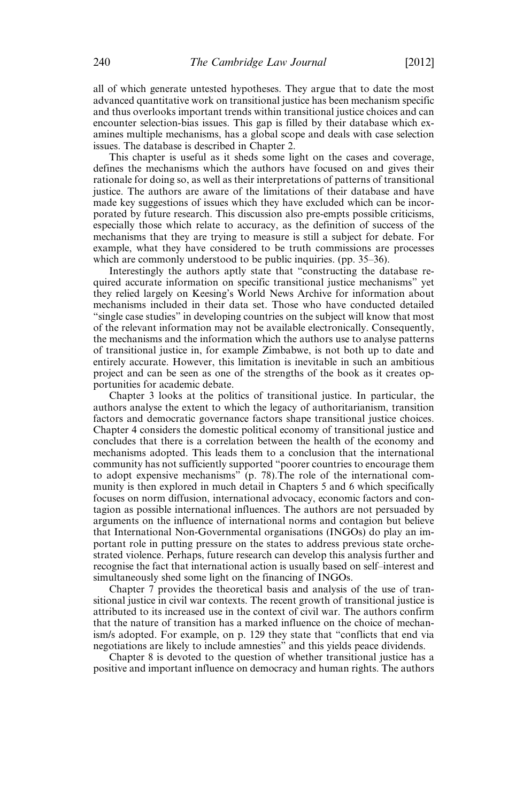all of which generate untested hypotheses. They argue that to date the most advanced quantitative work on transitional justice has been mechanism specific and thus overlooks important trends within transitional justice choices and can encounter selection-bias issues. This gap is filled by their database which examines multiple mechanisms, has a global scope and deals with case selection issues. The database is described in Chapter 2.

This chapter is useful as it sheds some light on the cases and coverage, defines the mechanisms which the authors have focused on and gives their rationale for doing so, as well as their interpretations of patterns of transitional justice. The authors are aware of the limitations of their database and have made key suggestions of issues which they have excluded which can be incorporated by future research. This discussion also pre-empts possible criticisms, especially those which relate to accuracy, as the definition of success of the mechanisms that they are trying to measure is still a subject for debate. For example, what they have considered to be truth commissions are processes which are commonly understood to be public inquiries. (pp. 35–36).

Interestingly the authors aptly state that "constructing the database required accurate information on specific transitional justice mechanisms" yet they relied largely on Keesing's World News Archive for information about mechanisms included in their data set. Those who have conducted detailed "single case studies" in developing countries on the subject will know that most of the relevant information may not be available electronically. Consequently, the mechanisms and the information which the authors use to analyse patterns of transitional justice in, for example Zimbabwe, is not both up to date and entirely accurate. However, this limitation is inevitable in such an ambitious project and can be seen as one of the strengths of the book as it creates opportunities for academic debate.

Chapter 3 looks at the politics of transitional justice. In particular, the authors analyse the extent to which the legacy of authoritarianism, transition factors and democratic governance factors shape transitional justice choices. Chapter 4 considers the domestic political economy of transitional justice and concludes that there is a correlation between the health of the economy and mechanisms adopted. This leads them to a conclusion that the international community has not sufficiently supported "poorer countries to encourage them to adopt expensive mechanisms" (p. 78).The role of the international community is then explored in much detail in Chapters 5 and 6 which specifically focuses on norm diffusion, international advocacy, economic factors and contagion as possible international influences. The authors are not persuaded by arguments on the influence of international norms and contagion but believe that International Non-Governmental organisations (INGOs) do play an important role in putting pressure on the states to address previous state orchestrated violence. Perhaps, future research can develop this analysis further and recognise the fact that international action is usually based on self–interest and simultaneously shed some light on the financing of INGOs.

Chapter 7 provides the theoretical basis and analysis of the use of transitional justice in civil war contexts. The recent growth of transitional justice is attributed to its increased use in the context of civil war. The authors confirm that the nature of transition has a marked influence on the choice of mechanism/s adopted. For example, on p. 129 they state that "conflicts that end via negotiations are likely to include amnesties" and this yields peace dividends.

Chapter 8 is devoted to the question of whether transitional justice has a positive and important influence on democracy and human rights. The authors